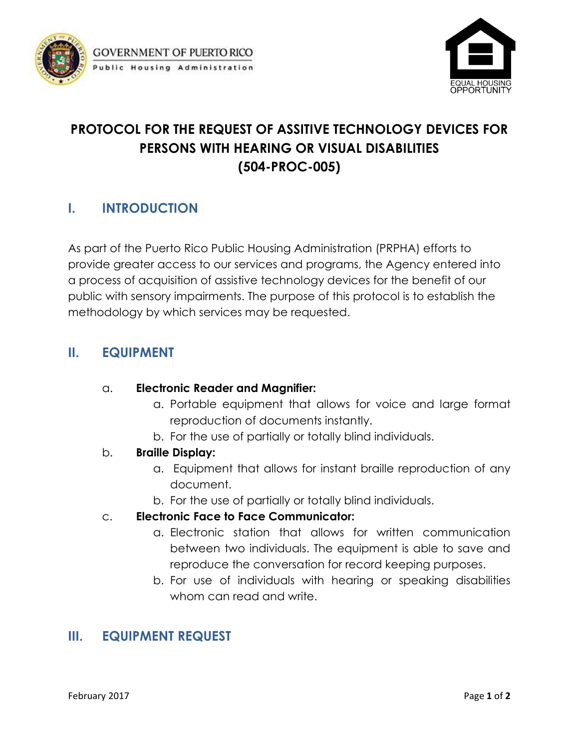



# **PROTOCOL FOR THE REQUEST OF ASSITIVE TECHNOLOGY DEVICES FOR PERSONS WITH HEARING OR VISUAL DISABILITIES (504-PROC-005)**

# **I. INTRODUCTION**

As part of the Puerto Rico Public Housing Administration (PRPHA) efforts to provide greater access to our services and programs, the Agency entered into a process of acquisition of assistive technology devices for the benefit of our public with sensory impairments. The purpose of this protocol is to establish the methodology by which services may be requested.

### **II. EQUIPMENT**

#### a. **Electronic Reader and Magnifier:**

- a. Portable equipment that allows for voice and large format reproduction of documents instantly.
- b. For the use of partially or totally blind individuals.

#### b. **Braille Display:**

- a. Equipment that allows for instant braille reproduction of any document.
- b. For the use of partially or totally blind individuals.

#### c. **Electronic Face to Face Communicator:**

- a. Electronic station that allows for written communication between two individuals. The equipment is able to save and reproduce the conversation for record keeping purposes.
- b. For use of individuals with hearing or speaking disabilities whom can read and write.

# **III. EQUIPMENT REQUEST**